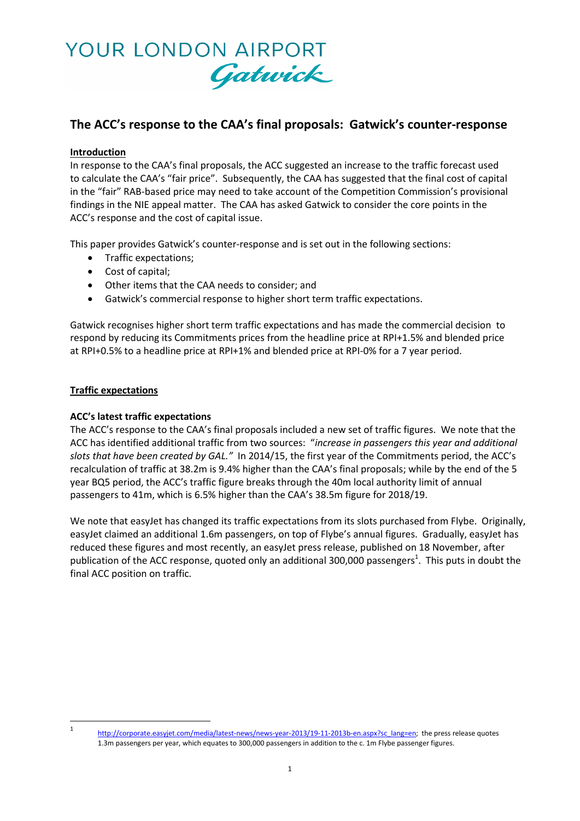

# **The ACC's response to the CAA's final proposals: Gatwick's counter-response**

# **Introduction**

In response to the CAA's final proposals, the ACC suggested an increase to the traffic forecast used to calculate the CAA's "fair price". Subsequently, the CAA has suggested that the final cost of capital in the "fair" RAB-based price may need to take account of the Competition Commission's provisional findings in the NIE appeal matter. The CAA has asked Gatwick to consider the core points in the ACC's response and the cost of capital issue.

This paper provides Gatwick's counter-response and is set out in the following sections:

- Traffic expectations;
- Cost of capital;
- Other items that the CAA needs to consider; and
- Gatwick's commercial response to higher short term traffic expectations.

Gatwick recognises higher short term traffic expectations and has made the commercial decision to respond by reducing its Commitments prices from the headline price at RPI+1.5% and blended price at RPI+0.5% to a headline price at RPI+1% and blended price at RPI-0% for a 7 year period.

## **Traffic expectations**

## **ACC's latest traffic expectations**

The ACC's response to the CAA's final proposals included a new set of traffic figures. We note that the ACC has identified additional traffic from two sources: "*increase in passengers this year and additional slots that have been created by GAL."* In 2014/15, the first year of the Commitments period, the ACC's recalculation of traffic at 38.2m is 9.4% higher than the CAA's final proposals; while by the end of the 5 year BQ5 period, the ACC's traffic figure breaks through the 40m local authority limit of annual passengers to 41m, which is 6.5% higher than the CAA's 38.5m figure for 2018/19.

We note that easyJet has changed its traffic expectations from its slots purchased from Flybe. Originally, easyJet claimed an additional 1.6m passengers, on top of Flybe's annual figures. Gradually, easyJet has reduced these figures and most recently, an easyJet press release, published on 18 November, after publication of the ACC response, quoted only an additional 300,000 passengers<sup>1</sup>. This puts in doubt the final ACC position on traffic.

 $\frac{1}{1}$ 

[http://corporate.easyjet.com/media/latest-news/news-year-2013/19-11-2013b-en.aspx?sc\\_lang=en;](http://corporate.easyjet.com/media/latest-news/news-year-2013/19-11-2013b-en.aspx?sc_lang=en) the press release quotes 1.3m passengers per year, which equates to 300,000 passengers in addition to the c. 1m Flybe passenger figures.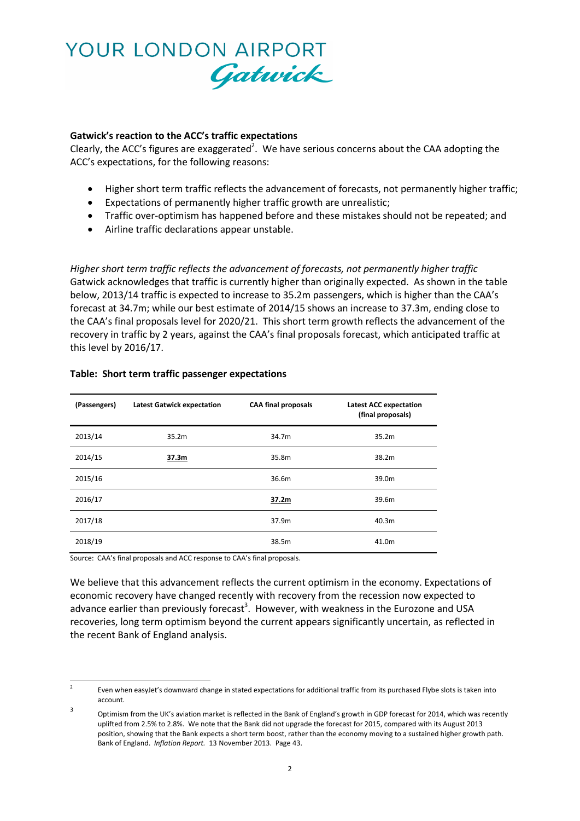

## **Gatwick's reaction to the ACC's traffic expectations**

Clearly, the ACC's figures are exaggerated<sup>2</sup>. We have serious concerns about the CAA adopting the ACC's expectations, for the following reasons:

- Higher short term traffic reflects the advancement of forecasts, not permanently higher traffic;
- Expectations of permanently higher traffic growth are unrealistic;
- Traffic over-optimism has happened before and these mistakes should not be repeated; and
- Airline traffic declarations appear unstable.

*Higher short term traffic reflects the advancement of forecasts, not permanently higher traffic* Gatwick acknowledges that traffic is currently higher than originally expected. As shown in the table below, 2013/14 traffic is expected to increase to 35.2m passengers, which is higher than the CAA's forecast at 34.7m; while our best estimate of 2014/15 shows an increase to 37.3m, ending close to the CAA's final proposals level for 2020/21. This short term growth reflects the advancement of the recovery in traffic by 2 years, against the CAA's final proposals forecast, which anticipated traffic at this level by 2016/17.

| (Passengers) | <b>Latest Gatwick expectation</b> | <b>CAA final proposals</b> | <b>Latest ACC expectation</b><br>(final proposals) |
|--------------|-----------------------------------|----------------------------|----------------------------------------------------|
| 2013/14      | 35.2 <sub>m</sub>                 | 34.7m                      | 35.2m                                              |
| 2014/15      | 37.3m                             | 35.8m                      | 38.2m                                              |
| 2015/16      |                                   | 36.6m                      | 39.0m                                              |
| 2016/17      |                                   | 37.2m                      | 39.6m                                              |
| 2017/18      |                                   | 37.9m                      | 40.3m                                              |
| 2018/19      |                                   | 38.5m                      | 41.0m                                              |

#### **Table: Short term traffic passenger expectations**

Source: CAA's final proposals and ACC response to CAA's final proposals.

We believe that this advancement reflects the current optimism in the economy. Expectations of economic recovery have changed recently with recovery from the recession now expected to advance earlier than previously forecast<sup>3</sup>. However, with weakness in the Eurozone and USA recoveries, long term optimism beyond the current appears significantly uncertain, as reflected in the recent Bank of England analysis.

 $\frac{1}{2}$ Even when easyJet's downward change in stated expectations for additional traffic from its purchased Flybe slots is taken into account.

<sup>3</sup> Optimism from the UK's aviation market is reflected in the Bank of England's growth in GDP forecast for 2014, which was recently uplifted from 2.5% to 2.8%. We note that the Bank did not upgrade the forecast for 2015, compared with its August 2013 position, showing that the Bank expects a short term boost, rather than the economy moving to a sustained higher growth path. Bank of England. *Inflation Report.* 13 November 2013. Page 43.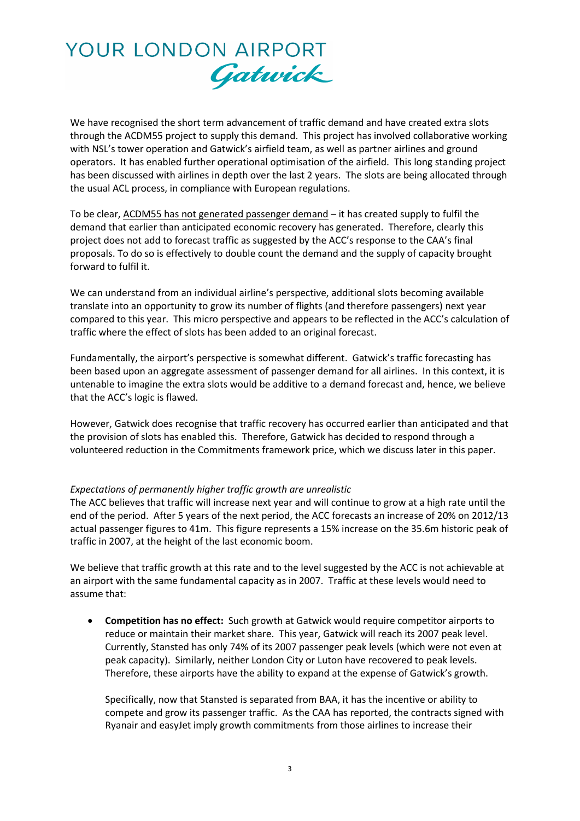

We have recognised the short term advancement of traffic demand and have created extra slots through the ACDM55 project to supply this demand. This project has involved collaborative working with NSL's tower operation and Gatwick's airfield team, as well as partner airlines and ground operators. It has enabled further operational optimisation of the airfield. This long standing project has been discussed with airlines in depth over the last 2 years. The slots are being allocated through the usual ACL process, in compliance with European regulations.

To be clear, ACDM55 has not generated passenger demand – it has created supply to fulfil the demand that earlier than anticipated economic recovery has generated. Therefore, clearly this project does not add to forecast traffic as suggested by the ACC's response to the CAA's final proposals. To do so is effectively to double count the demand and the supply of capacity brought forward to fulfil it.

We can understand from an individual airline's perspective, additional slots becoming available translate into an opportunity to grow its number of flights (and therefore passengers) next year compared to this year. This micro perspective and appears to be reflected in the ACC's calculation of traffic where the effect of slots has been added to an original forecast.

Fundamentally, the airport's perspective is somewhat different. Gatwick's traffic forecasting has been based upon an aggregate assessment of passenger demand for all airlines. In this context, it is untenable to imagine the extra slots would be additive to a demand forecast and, hence, we believe that the ACC's logic is flawed.

However, Gatwick does recognise that traffic recovery has occurred earlier than anticipated and that the provision of slots has enabled this. Therefore, Gatwick has decided to respond through a volunteered reduction in the Commitments framework price, which we discuss later in this paper.

## *Expectations of permanently higher traffic growth are unrealistic*

The ACC believes that traffic will increase next year and will continue to grow at a high rate until the end of the period. After 5 years of the next period, the ACC forecasts an increase of 20% on 2012/13 actual passenger figures to 41m. This figure represents a 15% increase on the 35.6m historic peak of traffic in 2007, at the height of the last economic boom.

We believe that traffic growth at this rate and to the level suggested by the ACC is not achievable at an airport with the same fundamental capacity as in 2007. Traffic at these levels would need to assume that:

 **Competition has no effect:** Such growth at Gatwick would require competitor airports to reduce or maintain their market share. This year, Gatwick will reach its 2007 peak level. Currently, Stansted has only 74% of its 2007 passenger peak levels (which were not even at peak capacity). Similarly, neither London City or Luton have recovered to peak levels. Therefore, these airports have the ability to expand at the expense of Gatwick's growth.

Specifically, now that Stansted is separated from BAA, it has the incentive or ability to compete and grow its passenger traffic. As the CAA has reported, the contracts signed with Ryanair and easyJet imply growth commitments from those airlines to increase their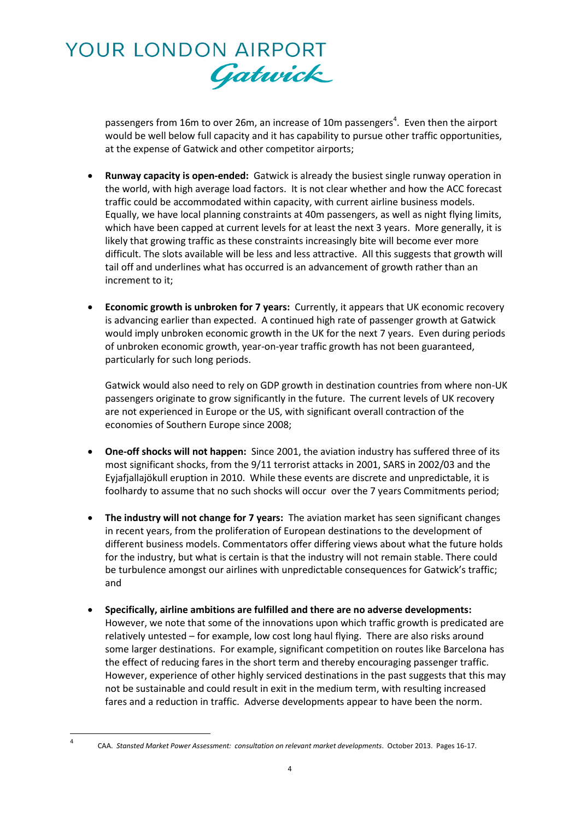

passengers from 16m to over 26m, an increase of 10m passengers<sup>4</sup>. Even then the airport would be well below full capacity and it has capability to pursue other traffic opportunities, at the expense of Gatwick and other competitor airports;

- **Runway capacity is open-ended:** Gatwick is already the busiest single runway operation in the world, with high average load factors. It is not clear whether and how the ACC forecast traffic could be accommodated within capacity, with current airline business models. Equally, we have local planning constraints at 40m passengers, as well as night flying limits, which have been capped at current levels for at least the next 3 years. More generally, it is likely that growing traffic as these constraints increasingly bite will become ever more difficult. The slots available will be less and less attractive. All this suggests that growth will tail off and underlines what has occurred is an advancement of growth rather than an increment to it;
- **Economic growth is unbroken for 7 years:** Currently, it appears that UK economic recovery is advancing earlier than expected. A continued high rate of passenger growth at Gatwick would imply unbroken economic growth in the UK for the next 7 years. Even during periods of unbroken economic growth, year-on-year traffic growth has not been guaranteed, particularly for such long periods.

Gatwick would also need to rely on GDP growth in destination countries from where non-UK passengers originate to grow significantly in the future. The current levels of UK recovery are not experienced in Europe or the US, with significant overall contraction of the economies of Southern Europe since 2008;

- **One-off shocks will not happen:** Since 2001, the aviation industry has suffered three of its most significant shocks, from the 9/11 terrorist attacks in 2001, SARS in 2002/03 and the Eyjafjallajökull eruption in 2010. While these events are discrete and unpredictable, it is foolhardy to assume that no such shocks will occur over the 7 years Commitments period;
- **The industry will not change for 7 years:** The aviation market has seen significant changes in recent years, from the proliferation of European destinations to the development of different business models. Commentators offer differing views about what the future holds for the industry, but what is certain is that the industry will not remain stable. There could be turbulence amongst our airlines with unpredictable consequences for Gatwick's traffic; and
- **Specifically, airline ambitions are fulfilled and there are no adverse developments:** However, we note that some of the innovations upon which traffic growth is predicated are relatively untested – for example, low cost long haul flying. There are also risks around some larger destinations. For example, significant competition on routes like Barcelona has the effect of reducing fares in the short term and thereby encouraging passenger traffic. However, experience of other highly serviced destinations in the past suggests that this may not be sustainable and could result in exit in the medium term, with resulting increased fares and a reduction in traffic. Adverse developments appear to have been the norm.

**<sup>.</sup>** 4

CAA. *Stansted Market Power Assessment: consultation on relevant market developments*. October 2013. Pages 16-17.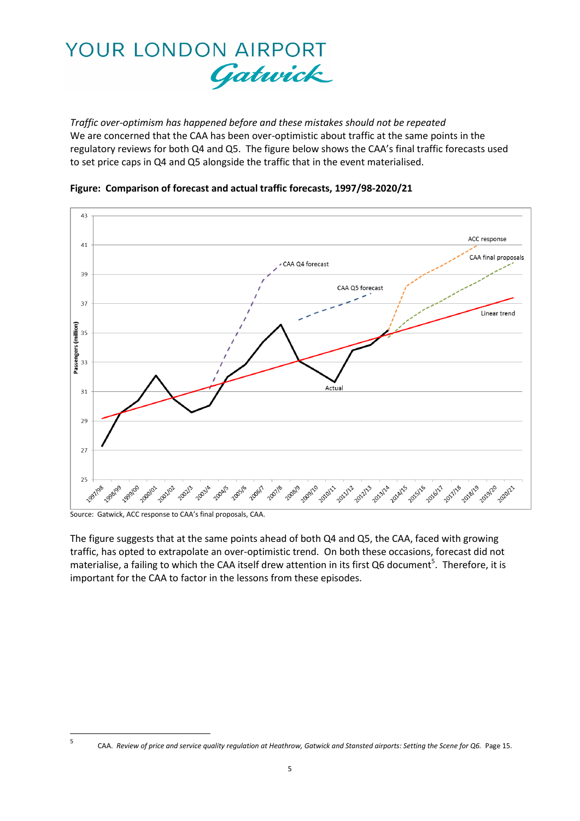

*Traffic over-optimism has happened before and these mistakes should not be repeated* We are concerned that the CAA has been over-optimistic about traffic at the same points in the regulatory reviews for both Q4 and Q5. The figure below shows the CAA's final traffic forecasts used to set price caps in Q4 and Q5 alongside the traffic that in the event materialised.





-<br>5

The figure suggests that at the same points ahead of both Q4 and Q5, the CAA, faced with growing traffic, has opted to extrapolate an over-optimistic trend. On both these occasions, forecast did not materialise, a failing to which the CAA itself drew attention in its first Q6 document<sup>5</sup>. Therefore, it is important for the CAA to factor in the lessons from these episodes.

Source: Gatwick, ACC response to CAA's final proposals, CAA.

CAA. *Review of price and service quality regulation at Heathrow, Gatwick and Stansted airports: Setting the Scene for Q6.* Page 15.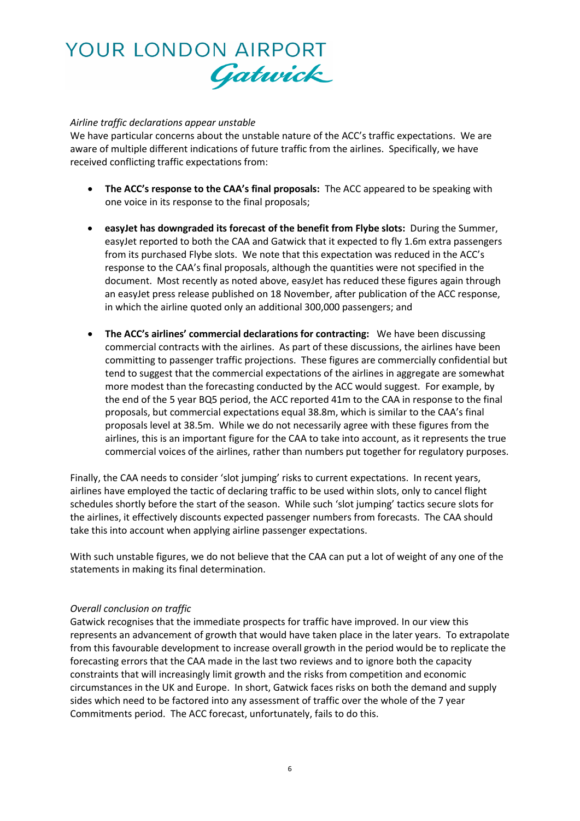# YOUR LONDON AIRPORT Gatwick

# *Airline traffic declarations appear unstable*

We have particular concerns about the unstable nature of the ACC's traffic expectations. We are aware of multiple different indications of future traffic from the airlines. Specifically, we have received conflicting traffic expectations from:

- **The ACC's response to the CAA's final proposals:** The ACC appeared to be speaking with one voice in its response to the final proposals;
- **easyJet has downgraded its forecast of the benefit from Flybe slots:** During the Summer, easyJet reported to both the CAA and Gatwick that it expected to fly 1.6m extra passengers from its purchased Flybe slots. We note that this expectation was reduced in the ACC's response to the CAA's final proposals, although the quantities were not specified in the document. Most recently as noted above, easyJet has reduced these figures again through an easyJet press release published on 18 November, after publication of the ACC response, in which the airline quoted only an additional 300,000 passengers; and
- **The ACC's airlines' commercial declarations for contracting:** We have been discussing commercial contracts with the airlines. As part of these discussions, the airlines have been committing to passenger traffic projections. These figures are commercially confidential but tend to suggest that the commercial expectations of the airlines in aggregate are somewhat more modest than the forecasting conducted by the ACC would suggest. For example, by the end of the 5 year BQ5 period, the ACC reported 41m to the CAA in response to the final proposals, but commercial expectations equal 38.8m, which is similar to the CAA's final proposals level at 38.5m. While we do not necessarily agree with these figures from the airlines, this is an important figure for the CAA to take into account, as it represents the true commercial voices of the airlines, rather than numbers put together for regulatory purposes.

Finally, the CAA needs to consider 'slot jumping' risks to current expectations. In recent years, airlines have employed the tactic of declaring traffic to be used within slots, only to cancel flight schedules shortly before the start of the season. While such 'slot jumping' tactics secure slots for the airlines, it effectively discounts expected passenger numbers from forecasts. The CAA should take this into account when applying airline passenger expectations.

With such unstable figures, we do not believe that the CAA can put a lot of weight of any one of the statements in making its final determination.

## *Overall conclusion on traffic*

Gatwick recognises that the immediate prospects for traffic have improved. In our view this represents an advancement of growth that would have taken place in the later years. To extrapolate from this favourable development to increase overall growth in the period would be to replicate the forecasting errors that the CAA made in the last two reviews and to ignore both the capacity constraints that will increasingly limit growth and the risks from competition and economic circumstances in the UK and Europe. In short, Gatwick faces risks on both the demand and supply sides which need to be factored into any assessment of traffic over the whole of the 7 year Commitments period. The ACC forecast, unfortunately, fails to do this.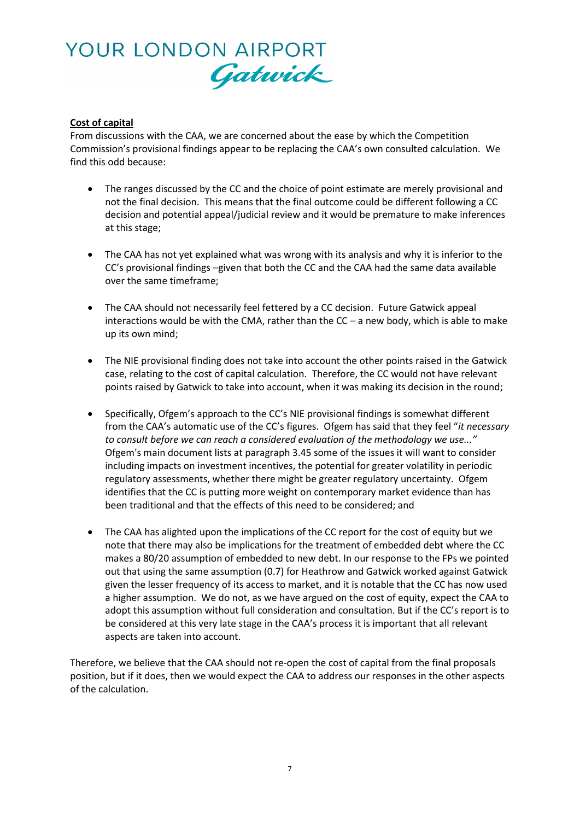# YOUR LONDON AIRPORT Gatwick

# **Cost of capital**

From discussions with the CAA, we are concerned about the ease by which the Competition Commission's provisional findings appear to be replacing the CAA's own consulted calculation. We find this odd because:

- The ranges discussed by the CC and the choice of point estimate are merely provisional and not the final decision. This means that the final outcome could be different following a CC decision and potential appeal/judicial review and it would be premature to make inferences at this stage;
- The CAA has not yet explained what was wrong with its analysis and why it is inferior to the CC's provisional findings –given that both the CC and the CAA had the same data available over the same timeframe;
- The CAA should not necessarily feel fettered by a CC decision. Future Gatwick appeal interactions would be with the CMA, rather than the  $CC - a$  new body, which is able to make up its own mind;
- The NIE provisional finding does not take into account the other points raised in the Gatwick case, relating to the cost of capital calculation. Therefore, the CC would not have relevant points raised by Gatwick to take into account, when it was making its decision in the round;
- Specifically, Ofgem's approach to the CC's NIE provisional findings is somewhat different from the CAA's automatic use of the CC's figures. Ofgem has said that they feel "*it necessary to consult before we can reach a considered evaluation of the methodology we use..."* Ofgem's main document lists at paragraph 3.45 some of the issues it will want to consider including impacts on investment incentives, the potential for greater volatility in periodic regulatory assessments, whether there might be greater regulatory uncertainty. Ofgem identifies that the CC is putting more weight on contemporary market evidence than has been traditional and that the effects of this need to be considered; and
- The CAA has alighted upon the implications of the CC report for the cost of equity but we note that there may also be implications for the treatment of embedded debt where the CC makes a 80/20 assumption of embedded to new debt. In our response to the FPs we pointed out that using the same assumption (0.7) for Heathrow and Gatwick worked against Gatwick given the lesser frequency of its access to market, and it is notable that the CC has now used a higher assumption. We do not, as we have argued on the cost of equity, expect the CAA to adopt this assumption without full consideration and consultation. But if the CC's report is to be considered at this very late stage in the CAA's process it is important that all relevant aspects are taken into account.

Therefore, we believe that the CAA should not re-open the cost of capital from the final proposals position, but if it does, then we would expect the CAA to address our responses in the other aspects of the calculation.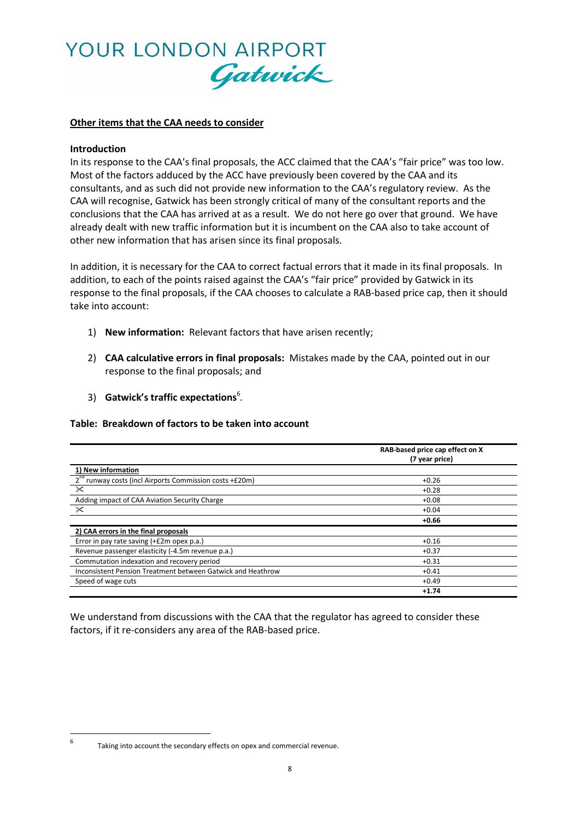

#### **Other items that the CAA needs to consider**

#### **Introduction**

In its response to the CAA's final proposals, the ACC claimed that the CAA's "fair price" was too low. Most of the factors adduced by the ACC have previously been covered by the CAA and its consultants, and as such did not provide new information to the CAA's regulatory review. As the CAA will recognise, Gatwick has been strongly critical of many of the consultant reports and the conclusions that the CAA has arrived at as a result. We do not here go over that ground. We have already dealt with new traffic information but it is incumbent on the CAA also to take account of other new information that has arisen since its final proposals.

In addition, it is necessary for the CAA to correct factual errors that it made in its final proposals. In addition, to each of the points raised against the CAA's "fair price" provided by Gatwick in its response to the final proposals, if the CAA chooses to calculate a RAB-based price cap, then it should take into account:

- 1) **New information:** Relevant factors that have arisen recently;
- 2) **CAA calculative errors in final proposals:** Mistakes made by the CAA, pointed out in our response to the final proposals; and
- 3) **Gatwick's traffic expectations**<sup>6</sup> *.*

#### **Table: Breakdown of factors to be taken into account**

|                                                                     | RAB-based price cap effect on X<br>(7 year price) |
|---------------------------------------------------------------------|---------------------------------------------------|
| 1) New information                                                  |                                                   |
| 2 <sup>nd</sup> runway costs (incl Airports Commission costs +£20m) | $+0.26$                                           |
| $\propto$                                                           | $+0.28$                                           |
| Adding impact of CAA Aviation Security Charge                       | $+0.08$                                           |
| $\mathsf{\times}$                                                   | $+0.04$                                           |
|                                                                     | $+0.66$                                           |
| 2) CAA errors in the final proposals                                |                                                   |
| Error in pay rate saving (+£2m opex p.a.)                           | $+0.16$                                           |
| Revenue passenger elasticity (-4.5m revenue p.a.)                   | $+0.37$                                           |
| Commutation indexation and recovery period                          | $+0.31$                                           |
| Inconsistent Pension Treatment between Gatwick and Heathrow         | $+0.41$                                           |
| Speed of wage cuts                                                  | $+0.49$                                           |
|                                                                     | $+1.74$                                           |

We understand from discussions with the CAA that the regulator has agreed to consider these factors, if it re-considers any area of the RAB-based price.

<sup>—&</sup>lt;br>6

Taking into account the secondary effects on opex and commercial revenue.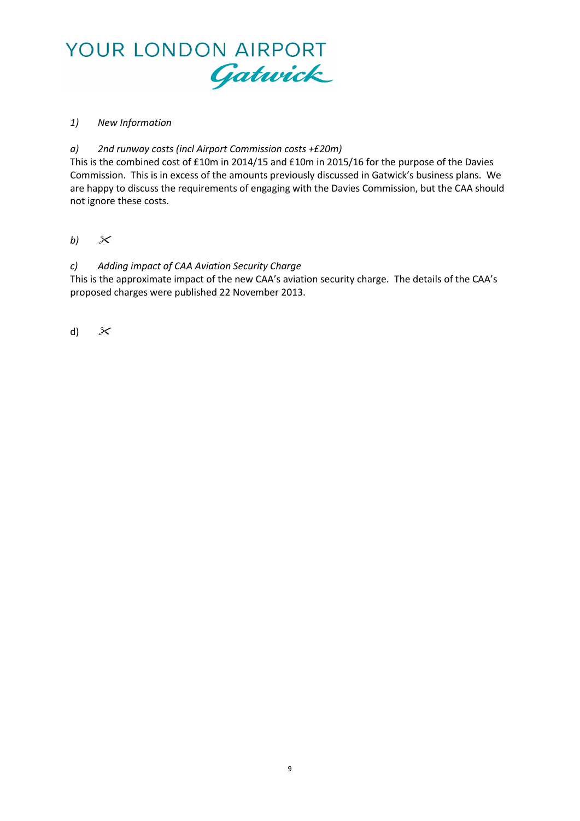

# *1) New Information*

# *a) 2nd runway costs (incl Airport Commission costs +£20m)*

This is the combined cost of £10m in 2014/15 and £10m in 2015/16 for the purpose of the Davies Commission. This is in excess of the amounts previously discussed in Gatwick's business plans. We are happy to discuss the requirements of engaging with the Davies Commission, but the CAA should not ignore these costs.

*b)*

# *c) Adding impact of CAA Aviation Security Charge*

This is the approximate impact of the new CAA's aviation security charge. The details of the CAA's proposed charges were published 22 November 2013.

d)  $\mathcal{X}$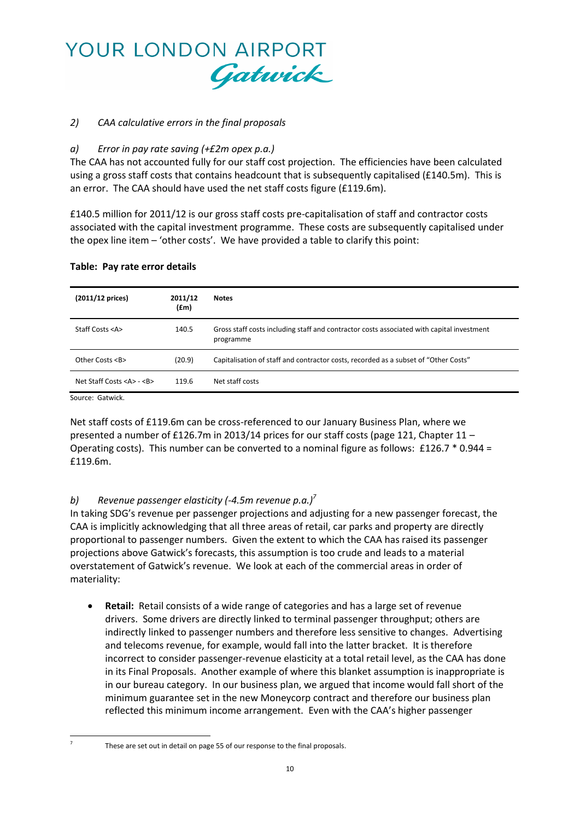

# *2) CAA calculative errors in the final proposals*

# *a) Error in pay rate saving (+£2m opex p.a.)*

The CAA has not accounted fully for our staff cost projection. The efficiencies have been calculated using a gross staff costs that contains headcount that is subsequently capitalised (£140.5m). This is an error. The CAA should have used the net staff costs figure (£119.6m).

£140.5 million for 2011/12 is our gross staff costs pre-capitalisation of staff and contractor costs associated with the capital investment programme. These costs are subsequently capitalised under the opex line item – 'other costs'. We have provided a table to clarify this point:

| (2011/12 prices)                  | 2011/12<br>(fm) | <b>Notes</b>                                                                                           |
|-----------------------------------|-----------------|--------------------------------------------------------------------------------------------------------|
| Staff Costs <a></a>               | 140.5           | Gross staff costs including staff and contractor costs associated with capital investment<br>programme |
| Other Costs <b></b>               | (20.9)          | Capitalisation of staff and contractor costs, recorded as a subset of "Other Costs"                    |
| Net Staff Costs <a> - <b></b></a> | 119.6           | Net staff costs                                                                                        |

Source: Gatwick.

Net staff costs of £119.6m can be cross-referenced to our January Business Plan, where we presented a number of £126.7m in 2013/14 prices for our staff costs (page 121, Chapter 11 – Operating costs). This number can be converted to a nominal figure as follows: £126.7 \* 0.944 = £119.6m.

# *b) Revenue passenger elasticity (-4.5m revenue p.a.) 7*

In taking SDG's revenue per passenger projections and adjusting for a new passenger forecast, the CAA is implicitly acknowledging that all three areas of retail, car parks and property are directly proportional to passenger numbers. Given the extent to which the CAA has raised its passenger projections above Gatwick's forecasts, this assumption is too crude and leads to a material overstatement of Gatwick's revenue. We look at each of the commercial areas in order of materiality:

 **Retail:** Retail consists of a wide range of categories and has a large set of revenue drivers. Some drivers are directly linked to terminal passenger throughput; others are indirectly linked to passenger numbers and therefore less sensitive to changes. Advertising and telecoms revenue, for example, would fall into the latter bracket. It is therefore incorrect to consider passenger-revenue elasticity at a total retail level, as the CAA has done in its Final Proposals. Another example of where this blanket assumption is inappropriate is in our bureau category. In our business plan, we argued that income would fall short of the minimum guarantee set in the new Moneycorp contract and therefore our business plan reflected this minimum income arrangement. Even with the CAA's higher passenger

 $\overline{a}$ 7

These are set out in detail on page 55 of our response to the final proposals.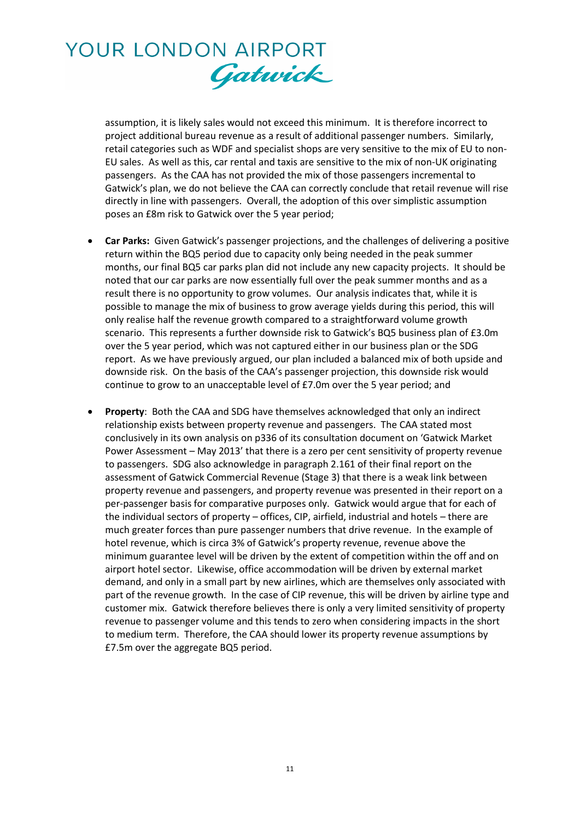# YOUR LONDON AIRPORT Gatwick

assumption, it is likely sales would not exceed this minimum. It is therefore incorrect to project additional bureau revenue as a result of additional passenger numbers. Similarly, retail categories such as WDF and specialist shops are very sensitive to the mix of EU to non-EU sales. As well as this, car rental and taxis are sensitive to the mix of non-UK originating passengers. As the CAA has not provided the mix of those passengers incremental to Gatwick's plan, we do not believe the CAA can correctly conclude that retail revenue will rise directly in line with passengers. Overall, the adoption of this over simplistic assumption poses an £8m risk to Gatwick over the 5 year period;

- **Car Parks:** Given Gatwick's passenger projections, and the challenges of delivering a positive return within the BQ5 period due to capacity only being needed in the peak summer months, our final BQ5 car parks plan did not include any new capacity projects. It should be noted that our car parks are now essentially full over the peak summer months and as a result there is no opportunity to grow volumes. Our analysis indicates that, while it is possible to manage the mix of business to grow average yields during this period, this will only realise half the revenue growth compared to a straightforward volume growth scenario. This represents a further downside risk to Gatwick's BQ5 business plan of £3.0m over the 5 year period, which was not captured either in our business plan or the SDG report. As we have previously argued, our plan included a balanced mix of both upside and downside risk. On the basis of the CAA's passenger projection, this downside risk would continue to grow to an unacceptable level of £7.0m over the 5 year period; and
- **Property**: Both the CAA and SDG have themselves acknowledged that only an indirect relationship exists between property revenue and passengers. The CAA stated most conclusively in its own analysis on p336 of its consultation document on 'Gatwick Market Power Assessment – May 2013' that there is a zero per cent sensitivity of property revenue to passengers. SDG also acknowledge in paragraph 2.161 of their final report on the assessment of Gatwick Commercial Revenue (Stage 3) that there is a weak link between property revenue and passengers, and property revenue was presented in their report on a per-passenger basis for comparative purposes only. Gatwick would argue that for each of the individual sectors of property – offices, CIP, airfield, industrial and hotels – there are much greater forces than pure passenger numbers that drive revenue. In the example of hotel revenue, which is circa 3% of Gatwick's property revenue, revenue above the minimum guarantee level will be driven by the extent of competition within the off and on airport hotel sector. Likewise, office accommodation will be driven by external market demand, and only in a small part by new airlines, which are themselves only associated with part of the revenue growth. In the case of CIP revenue, this will be driven by airline type and customer mix. Gatwick therefore believes there is only a very limited sensitivity of property revenue to passenger volume and this tends to zero when considering impacts in the short to medium term. Therefore, the CAA should lower its property revenue assumptions by £7.5m over the aggregate BQ5 period.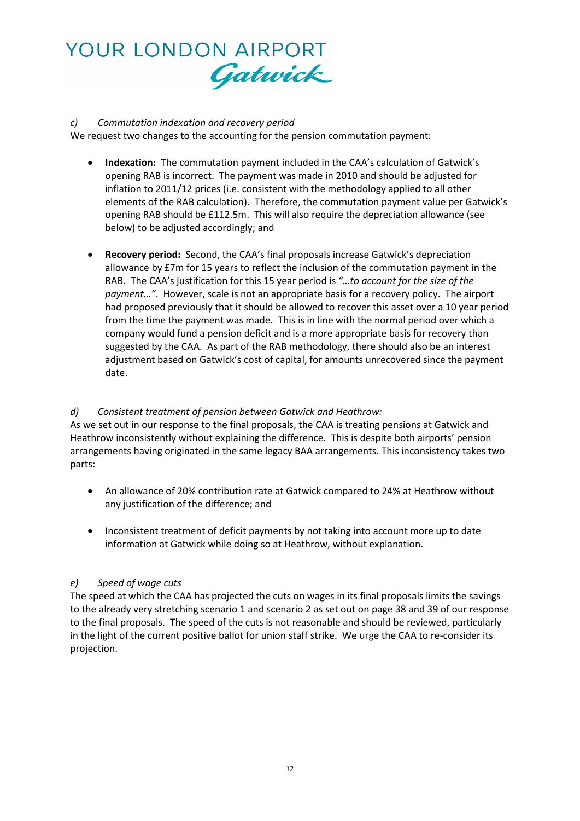

# *c) Commutation indexation and recovery period*

We request two changes to the accounting for the pension commutation payment:

- **Indexation:**The commutation payment included in the CAA's calculation of Gatwick's opening RAB is incorrect. The payment was made in 2010 and should be adjusted for inflation to 2011/12 prices (i.e. consistent with the methodology applied to all other elements of the RAB calculation). Therefore, the commutation payment value per Gatwick's opening RAB should be £112.5m. This will also require the depreciation allowance (see below) to be adjusted accordingly; and
- **Recovery period:**Second, the CAA's final proposals increase Gatwick's depreciation allowance by £7m for 15 years to reflect the inclusion of the commutation payment in the RAB. The CAA's justification for this 15 year period is *"…to account for the size of the payment…"*. However, scale is not an appropriate basis for a recovery policy. The airport had proposed previously that it should be allowed to recover this asset over a 10 year period from the time the payment was made. This is in line with the normal period over which a company would fund a pension deficit and is a more appropriate basis for recovery than suggested by the CAA. As part of the RAB methodology, there should also be an interest adjustment based on Gatwick's cost of capital, for amounts unrecovered since the payment date.

# *d) Consistent treatment of pension between Gatwick and Heathrow:*

As we set out in our response to the final proposals, the CAA is treating pensions at Gatwick and Heathrow inconsistently without explaining the difference. This is despite both airports' pension arrangements having originated in the same legacy BAA arrangements. This inconsistency takes two parts:

- An allowance of 20% contribution rate at Gatwick compared to 24% at Heathrow without any justification of the difference; and
- Inconsistent treatment of deficit payments by not taking into account more up to date information at Gatwick while doing so at Heathrow, without explanation.

# *e) Speed of wage cuts*

The speed at which the CAA has projected the cuts on wages in its final proposals limits the savings to the already very stretching scenario 1 and scenario 2 as set out on page 38 and 39 of our response to the final proposals. The speed of the cuts is not reasonable and should be reviewed, particularly in the light of the current positive ballot for union staff strike. We urge the CAA to re-consider its projection.